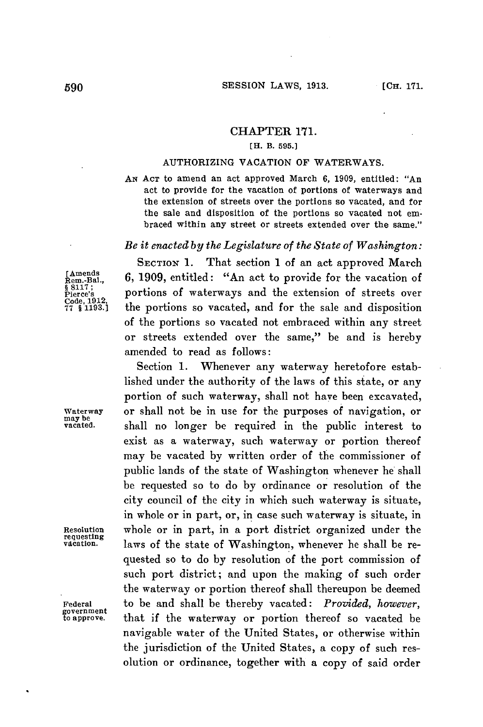## CHAPTER **171.**

## **[H. B. 595.]**

## **AUTHORIZING VACATION OF WATERWAYS.**

**AN ACT** to **amend** an act approved March **6, 1909,** entitled: "An act to provide for the vacation of portions of waterways and the extension of streets over the portions so vacated, and for the sale and disposition of the portions so vacated not embraced within any street or streets extended over the same."

## *Be it enacted by the Legislature of the State of Washington:*

**§ 8117;**

**SECTION 1.** That section 1 of an act approved March **[me., 6, 1909,** entitled: "An act to provide for the vacation of <sup>8</sup> <sup>Pierce's</sup> portions of waterways and the extension of streets over Code, 1912,<br>Code, 1912,<br>77 8 1193.1 the portions so vacated, and for the sale and disposition **77 § 1193.]** the portions so vacated, and for the sale and disposition of the portions so vacated not embraced within any street or streets extended over the same," be and is hereby amended to read as follows:

Section **1.** Whenever any waterway heretofore established under the authority of the laws of this state, or any portion of such waterway, shall not have been excavated, **Waterway** or shall not be in use for the purposes of navigation, or **may be vacated.** shall no longer be required in the public interest to exist as a waterway, such waterway or portion thereof may be vacated **by** written order of the commissioner of public lands of the state of Washington whenever he shall be requested so to do **by** ordinance or resolution of the city council of the city in which such waterway is situate, in whole or in part, or, in case such waterway is situate, in **Resolution** whole or in part, in a port district organized under the requesting **vacation.** laws of the state of Washington, whenever he shall be requested so to do **by** resolution of the port commission of such port district; and upon the making of such order the waterway or portion thereof shall thereupon be deemed **Federal** to be and shall be thereby vacated: *Provided, however,* that if the waterway or portion thereof so vacated be navigable water of the United States, or otherwise within the jurisdiction of the United States, a copy of such resolution or ordinance, together with a copy of said order

**government**